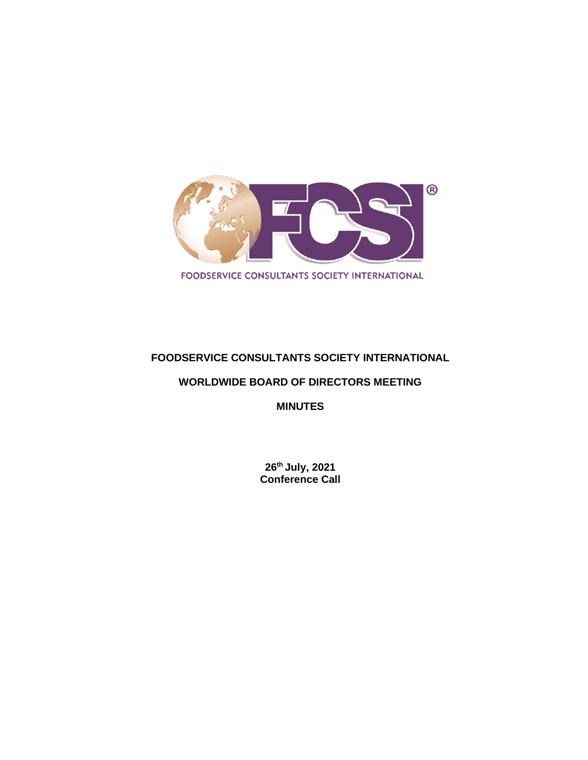

# **FOODSERVICE CONSULTANTS SOCIETY INTERNATIONAL**

# **WORLDWIDE BOARD OF DIRECTORS MEETING**

**MINUTES**

**26th July, 2021 Conference Call**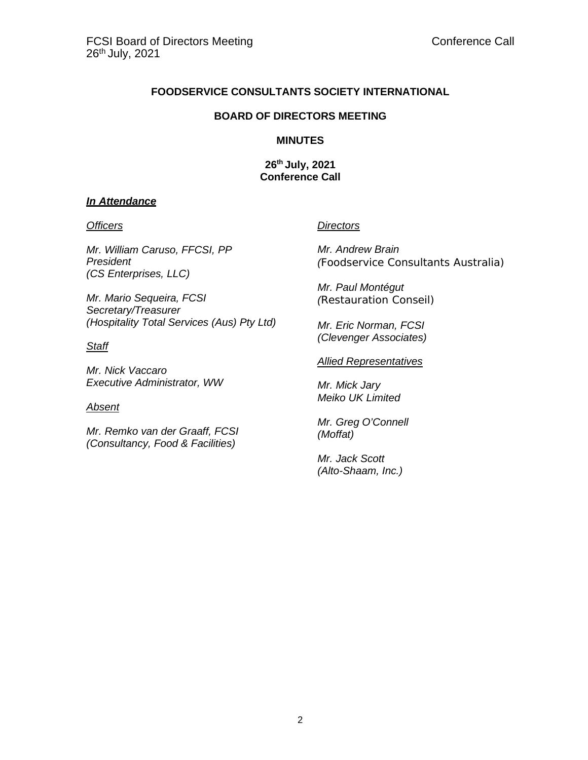## **FOODSERVICE CONSULTANTS SOCIETY INTERNATIONAL**

#### **BOARD OF DIRECTORS MEETING**

#### **MINUTES**

**26th July, 2021 Conference Call**

### *In Attendance*

*Mr. William Caruso, FFCSI, PP President (CS Enterprises, LLC)*

*Mr. Mario Sequeira, FCSI Secretary/Treasurer (Hospitality Total Services (Aus) Pty Ltd)*

## *Staff*

*Mr. Nick Vaccaro Executive Administrator, WW*

### *Absent*

*Mr. Remko van der Graaff, FCSI (Consultancy, Food & Facilities)*

### *Officers Directors*

*Mr. Andrew Brain (Foodservice Consultants Australia)*

*Mr. Paul Montégut (Restauration Conseil)*

*Mr. Eric Norman, FCSI (Clevenger Associates)*

#### *Allied Representatives*

*Mr. Mick Jary Meiko UK Limited*

*Mr. Greg O'Connell (Moffat)*

*Mr. Jack Scott (Alto-Shaam, Inc.)*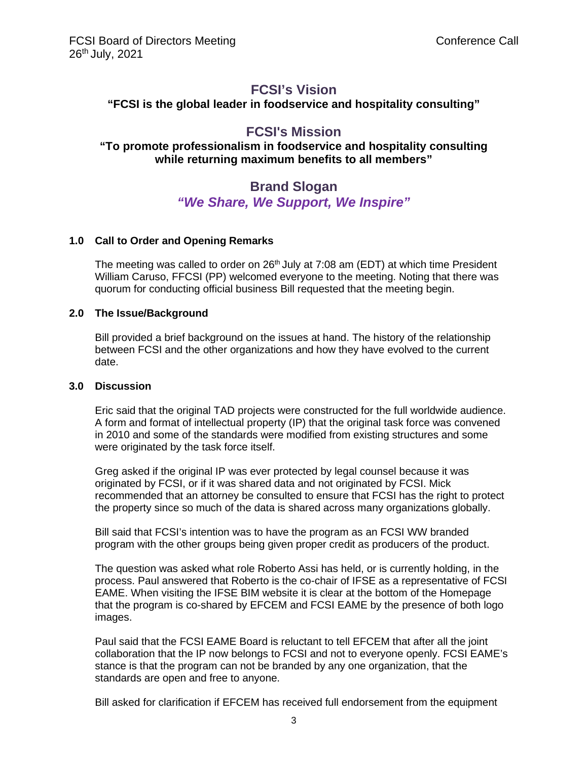# **FCSI's Vision**

**"FCSI is the global leader in foodservice and hospitality consulting"**

# **FCSI's Mission**

## **"To promote professionalism in foodservice and hospitality consulting while returning maximum benefits to all members"**

# **Brand Slogan** *"We Share, We Support, We Inspire"*

## **1.0 Call to Order and Opening Remarks**

The meeting was called to order on  $26<sup>th</sup>$  July at 7:08 am (EDT) at which time President William Caruso, FFCSI (PP) welcomed everyone to the meeting. Noting that there was quorum for conducting official business Bill requested that the meeting begin.

### **2.0 The Issue/Background**

Bill provided a brief background on the issues at hand. The history of the relationship between FCSI and the other organizations and how they have evolved to the current date.

#### **3.0 Discussion**

Eric said that the original TAD projects were constructed for the full worldwide audience. A form and format of intellectual property (IP) that the original task force was convened in 2010 and some of the standards were modified from existing structures and some were originated by the task force itself.

Greg asked if the original IP was ever protected by legal counsel because it was originated by FCSI, or if it was shared data and not originated by FCSI. Mick recommended that an attorney be consulted to ensure that FCSI has the right to protect the property since so much of the data is shared across many organizations globally.

Bill said that FCSI's intention was to have the program as an FCSI WW branded program with the other groups being given proper credit as producers of the product.

The question was asked what role Roberto Assi has held, or is currently holding, in the process. Paul answered that Roberto is the co-chair of IFSE as a representative of FCSI EAME. When visiting the IFSE BIM website it is clear at the bottom of the Homepage that the program is co-shared by EFCEM and FCSI EAME by the presence of both logo images.

Paul said that the FCSI EAME Board is reluctant to tell EFCEM that after all the joint collaboration that the IP now belongs to FCSI and not to everyone openly. FCSI EAME's stance is that the program can not be branded by any one organization, that the standards are open and free to anyone.

Bill asked for clarification if EFCEM has received full endorsement from the equipment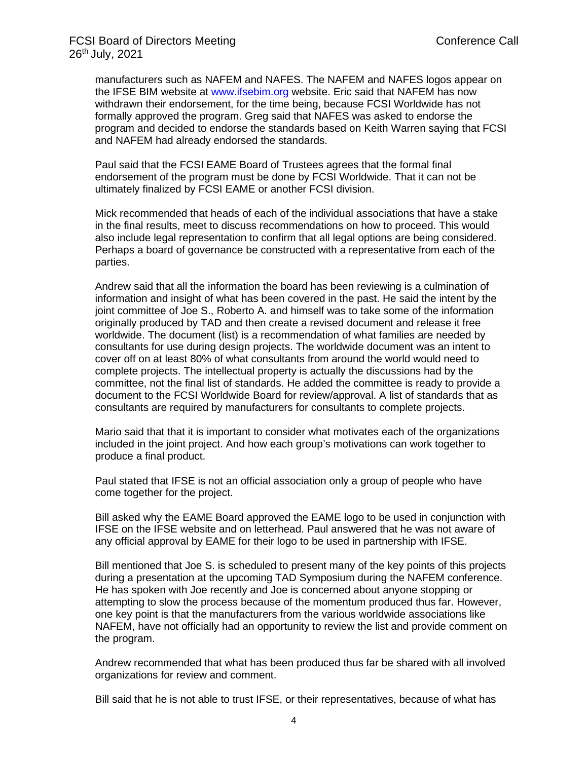manufacturers such as NAFEM and NAFES. The NAFEM and NAFES logos appear on the IFSE BIM website at [www.ifsebim.org](http://www.ifsebim.org/) website. Eric said that NAFEM has now withdrawn their endorsement, for the time being, because FCSI Worldwide has not formally approved the program. Greg said that NAFES was asked to endorse the program and decided to endorse the standards based on Keith Warren saying that FCSI and NAFEM had already endorsed the standards.

Paul said that the FCSI EAME Board of Trustees agrees that the formal final endorsement of the program must be done by FCSI Worldwide. That it can not be ultimately finalized by FCSI EAME or another FCSI division.

Mick recommended that heads of each of the individual associations that have a stake in the final results, meet to discuss recommendations on how to proceed. This would also include legal representation to confirm that all legal options are being considered. Perhaps a board of governance be constructed with a representative from each of the parties.

Andrew said that all the information the board has been reviewing is a culmination of information and insight of what has been covered in the past. He said the intent by the joint committee of Joe S., Roberto A. and himself was to take some of the information originally produced by TAD and then create a revised document and release it free worldwide. The document (list) is a recommendation of what families are needed by consultants for use during design projects. The worldwide document was an intent to cover off on at least 80% of what consultants from around the world would need to complete projects. The intellectual property is actually the discussions had by the committee, not the final list of standards. He added the committee is ready to provide a document to the FCSI Worldwide Board for review/approval. A list of standards that as consultants are required by manufacturers for consultants to complete projects.

Mario said that that it is important to consider what motivates each of the organizations included in the joint project. And how each group's motivations can work together to produce a final product.

Paul stated that IFSE is not an official association only a group of people who have come together for the project.

Bill asked why the EAME Board approved the EAME logo to be used in conjunction with IFSE on the IFSE website and on letterhead. Paul answered that he was not aware of any official approval by EAME for their logo to be used in partnership with IFSE.

Bill mentioned that Joe S. is scheduled to present many of the key points of this projects during a presentation at the upcoming TAD Symposium during the NAFEM conference. He has spoken with Joe recently and Joe is concerned about anyone stopping or attempting to slow the process because of the momentum produced thus far. However, one key point is that the manufacturers from the various worldwide associations like NAFEM, have not officially had an opportunity to review the list and provide comment on the program.

Andrew recommended that what has been produced thus far be shared with all involved organizations for review and comment.

Bill said that he is not able to trust IFSE, or their representatives, because of what has